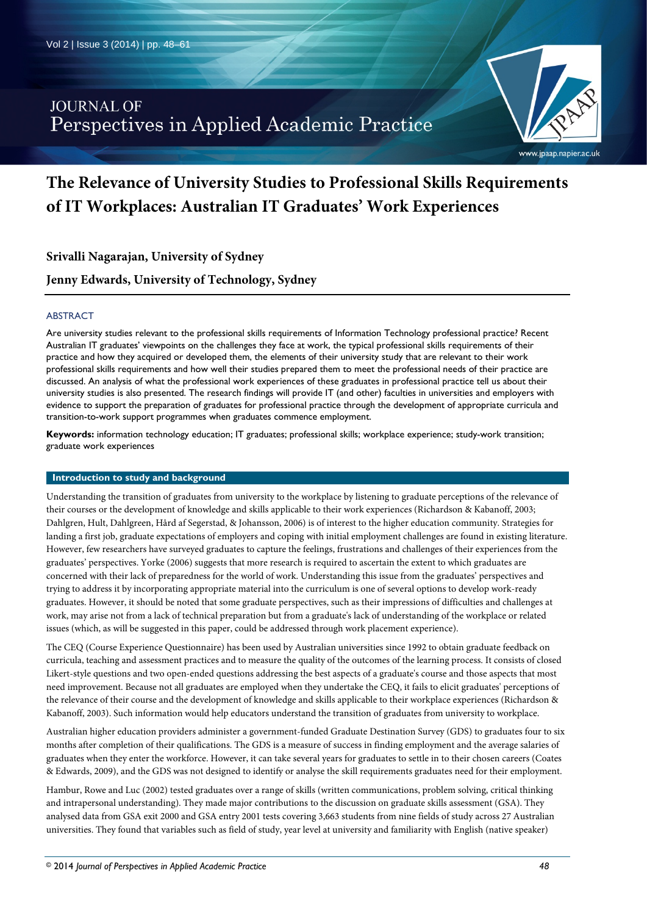## **JOURNAL OF** Perspectives in Applied Academic Practice



# **The Relevance of University Studies to Professional Skills Requirements of IT Workplaces: Australian IT Graduates' Work Experiences**

**Srivalli Nagarajan, University of Sydney**

**Jenny Edwards, University of Technology, Sydney**

## ABSTRACT

Are university studies relevant to the professional skills requirements of Information Technology professional practice? Recent Australian IT graduates' viewpoints on the challenges they face at work, the typical professional skills requirements of their practice and how they acquired or developed them, the elements of their university study that are relevant to their work professional skills requirements and how well their studies prepared them to meet the professional needs of their practice are discussed. An analysis of what the professional work experiences of these graduates in professional practice tell us about their university studies is also presented. The research findings will provide IT (and other) faculties in universities and employers with evidence to support the preparation of graduates for professional practice through the development of appropriate curricula and transition-to-work support programmes when graduates commence employment.

**Keywords:** information technology education; IT graduates; professional skills; workplace experience; study-work transition; graduate work experiences

#### **Introduction to study and background**

Understanding the transition of graduates from university to the workplace by listening to graduate perceptions of the relevance of their courses or the development of knowledge and skills applicable to their work experiences (Richardson & Kabanoff, 2003; Dahlgren, Hult, Dahlgreen, Hård af Segerstad, & Johansson, 2006) is of interest to the higher education community. Strategies for landing a first job, graduate expectations of employers and coping with initial employment challenges are found in existing literature. However, few researchers have surveyed graduates to capture the feelings, frustrations and challenges of their experiences from the graduates' perspectives. Yorke (2006) suggests that more research is required to ascertain the extent to which graduates are concerned with their lack of preparedness for the world of work. Understanding this issue from the graduates' perspectives and trying to address it by incorporating appropriate material into the curriculum is one of several options to develop work-ready graduates. However, it should be noted that some graduate perspectives, such as their impressions of difficulties and challenges at work, may arise not from a lack of technical preparation but from a graduate's lack of understanding of the workplace or related issues (which, as will be suggested in this paper, could be addressed through work placement experience).

The CEQ (Course Experience Questionnaire) has been used by Australian universities since 1992 to obtain graduate feedback on curricula, teaching and assessment practices and to measure the quality of the outcomes of the learning process. It consists of closed Likert-style questions and two open-ended questions addressing the best aspects of a graduate's course and those aspects that most need improvement. Because not all graduates are employed when they undertake the CEQ, it fails to elicit graduates' perceptions of the relevance of their course and the development of knowledge and skills applicable to their workplace experiences (Richardson & Kabanoff, 2003). Such information would help educators understand the transition of graduates from university to workplace.

Australian higher education providers administer a government-funded Graduate Destination Survey (GDS) to graduates four to six months after completion of their qualifications. The GDS is a measure of success in finding employment and the average salaries of graduates when they enter the workforce. However, it can take several years for graduates to settle in to their chosen careers (Coates & Edwards, 2009), and the GDS was not designed to identify or analyse the skill requirements graduates need for their employment.

Hambur, Rowe and Luc (2002) tested graduates over a range of skills (written communications, problem solving, critical thinking and intrapersonal understanding). They made major contributions to the discussion on graduate skills assessment (GSA). They analysed data from GSA exit 2000 and GSA entry 2001 tests covering 3,663 students from nine fields of study across 27 Australian universities. They found that variables such as field of study, year level at university and familiarity with English (native speaker)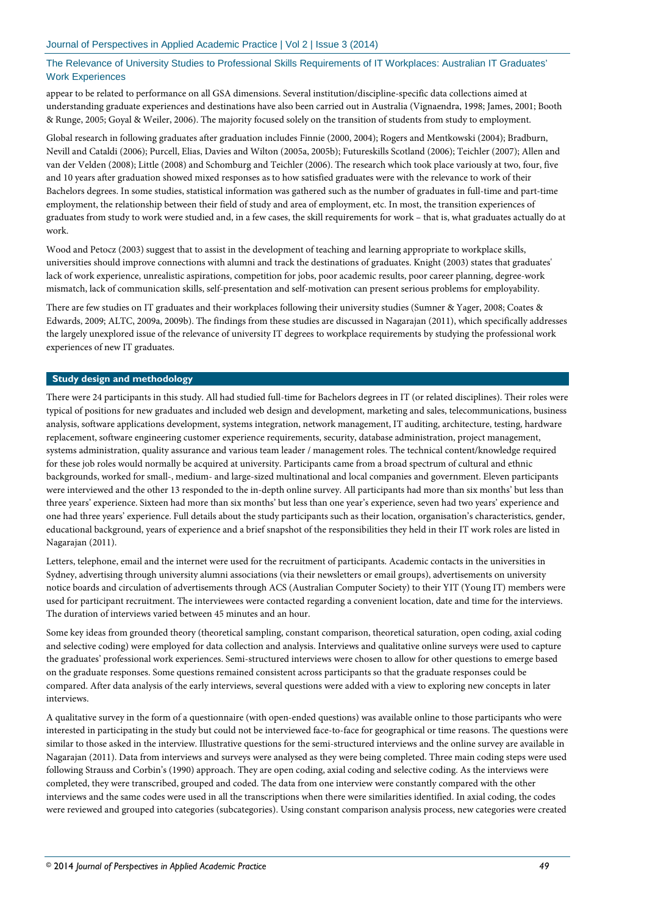appear to be related to performance on all GSA dimensions. Several institution/discipline-specific data collections aimed at understanding graduate experiences and destinations have also been carried out in Australia (Vignaendra, 1998; James, 2001; Booth & Runge, 2005; Goyal & Weiler, 2006). The majority focused solely on the transition of students from study to employment.

Global research in following graduates after graduation includes Finnie (2000, 2004); Rogers and Mentkowski (2004); Bradburn, Nevill and Cataldi (2006); Purcell, Elias, Davies and Wilton (2005a, 2005b); Futureskills Scotland (2006); Teichler (2007); Allen and van der Velden (2008); Little (2008) and Schomburg and Teichler (2006). The research which took place variously at two, four, five and 10 years after graduation showed mixed responses as to how satisfied graduates were with the relevance to work of their Bachelors degrees. In some studies, statistical information was gathered such as the number of graduates in full-time and part-time employment, the relationship between their field of study and area of employment, etc. In most, the transition experiences of graduates from study to work were studied and, in a few cases, the skill requirements for work – that is, what graduates actually do at work.

Wood and Petocz (2003) suggest that to assist in the development of teaching and learning appropriate to workplace skills, universities should improve connections with alumni and track the destinations of graduates. Knight (2003) states that graduates' lack of work experience, unrealistic aspirations, competition for jobs, poor academic results, poor career planning, degree-work mismatch, lack of communication skills, self-presentation and self-motivation can present serious problems for employability.

There are few studies on IT graduates and their workplaces following their university studies (Sumner & Yager, 2008; Coates & Edwards, 2009; ALTC, 2009a, 2009b). The findings from these studies are discussed in Nagarajan (2011), which specifically addresses the largely unexplored issue of the relevance of university IT degrees to workplace requirements by studying the professional work experiences of new IT graduates.

## **Study design and methodology**

There were 24 participants in this study. All had studied full-time for Bachelors degrees in IT (or related disciplines). Their roles were typical of positions for new graduates and included web design and development, marketing and sales, telecommunications, business analysis, software applications development, systems integration, network management, IT auditing, architecture, testing, hardware replacement, software engineering customer experience requirements, security, database administration, project management, systems administration, quality assurance and various team leader / management roles. The technical content/knowledge required for these job roles would normally be acquired at university. Participants came from a broad spectrum of cultural and ethnic backgrounds, worked for small-, medium- and large-sized multinational and local companies and government. Eleven participants were interviewed and the other 13 responded to the in-depth online survey. All participants had more than six months' but less than three years' experience. Sixteen had more than six months' but less than one year's experience, seven had two years' experience and one had three years' experience. Full details about the study participants such as their location, organisation's characteristics, gender, educational background, years of experience and a brief snapshot of the responsibilities they held in their IT work roles are listed in Nagarajan (2011).

Letters, telephone, email and the internet were used for the recruitment of participants. Academic contacts in the universities in Sydney, advertising through university alumni associations (via their newsletters or email groups), advertisements on university notice boards and circulation of advertisements through ACS (Australian Computer Society) to their YIT (Young IT) members were used for participant recruitment. The interviewees were contacted regarding a convenient location, date and time for the interviews. The duration of interviews varied between 45 minutes and an hour.

Some key ideas from grounded theory (theoretical sampling, constant comparison, theoretical saturation, open coding, axial coding and selective coding) were employed for data collection and analysis. Interviews and qualitative online surveys were used to capture the graduates' professional work experiences. Semi-structured interviews were chosen to allow for other questions to emerge based on the graduate responses. Some questions remained consistent across participants so that the graduate responses could be compared. After data analysis of the early interviews, several questions were added with a view to exploring new concepts in later interviews.

A qualitative survey in the form of a questionnaire (with open-ended questions) was available online to those participants who were interested in participating in the study but could not be interviewed face-to-face for geographical or time reasons. The questions were similar to those asked in the interview. Illustrative questions for the semi-structured interviews and the online survey are available in Nagarajan (2011). Data from interviews and surveys were analysed as they were being completed. Three main coding steps were used following Strauss and Corbin's (1990) approach. They are open coding, axial coding and selective coding. As the interviews were completed, they were transcribed, grouped and coded. The data from one interview were constantly compared with the other interviews and the same codes were used in all the transcriptions when there were similarities identified. In axial coding, the codes were reviewed and grouped into categories (subcategories). Using constant comparison analysis process, new categories were created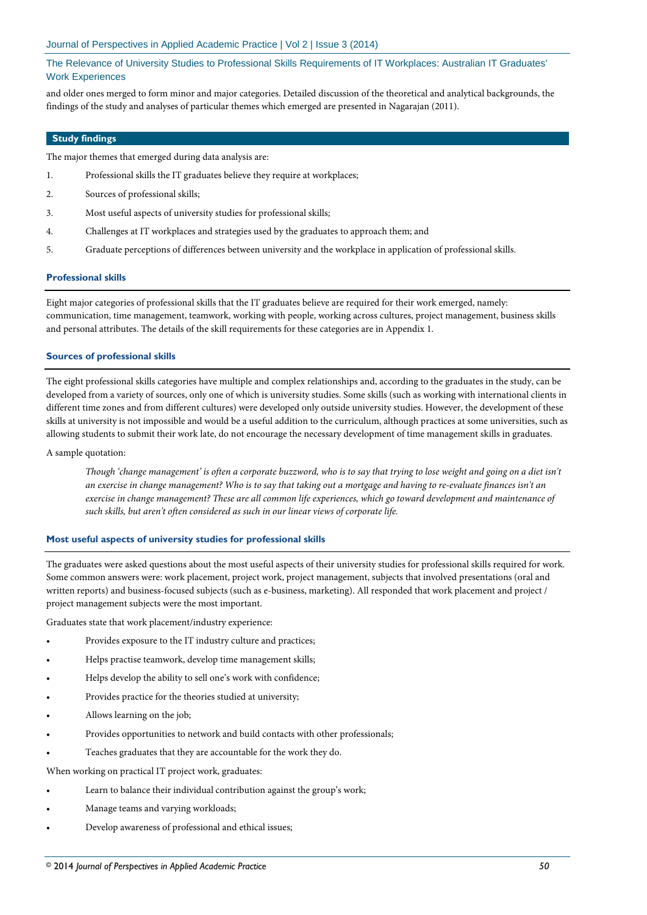and older ones merged to form minor and major categories. Detailed discussion of the theoretical and analytical backgrounds, the findings of the study and analyses of particular themes which emerged are presented in Nagarajan (2011).

## **Study findings**

The major themes that emerged during data analysis are:

- 1. Professional skills the IT graduates believe they require at workplaces;
- 2. Sources of professional skills;
- 3. Most useful aspects of university studies for professional skills;
- 4. Challenges at IT workplaces and strategies used by the graduates to approach them; and
- 5. Graduate perceptions of differences between university and the workplace in application of professional skills.

#### **Professional skills**

Eight major categories of professional skills that the IT graduates believe are required for their work emerged, namely: communication, time management, teamwork, working with people, working across cultures, project management, business skills and personal attributes. The details of the skill requirements for these categories are in Appendix 1.

#### **Sources of professional skills**

The eight professional skills categories have multiple and complex relationships and, according to the graduates in the study, can be developed from a variety of sources, only one of which is university studies. Some skills (such as working with international clients in different time zones and from different cultures) were developed only outside university studies. However, the development of these skills at university is not impossible and would be a useful addition to the curriculum, although practices at some universities, such as allowing students to submit their work late, do not encourage the necessary development of time management skills in graduates.

#### A sample quotation:

*Though 'change management' is often a corporate buzzword, who is to say that trying to lose weight and going on a diet isn't an exercise in change management? Who is to say that taking out a mortgage and having to re-evaluate finances isn't an exercise in change management? These are all common life experiences, which go toward development and maintenance of such skills, but aren't often considered as such in our linear views of corporate life.*

#### **Most useful aspects of university studies for professional skills**

The graduates were asked questions about the most useful aspects of their university studies for professional skills required for work. Some common answers were: work placement, project work, project management, subjects that involved presentations (oral and written reports) and business-focused subjects (such as e-business, marketing). All responded that work placement and project / project management subjects were the most important.

Graduates state that work placement/industry experience:

- Provides exposure to the IT industry culture and practices;
- Helps practise teamwork, develop time management skills;
- Helps develop the ability to sell one's work with confidence;
- Provides practice for the theories studied at university;
- Allows learning on the job;
- Provides opportunities to network and build contacts with other professionals;
- Teaches graduates that they are accountable for the work they do.

When working on practical IT project work, graduates:

- Learn to balance their individual contribution against the group's work;
- Manage teams and varying workloads;
- Develop awareness of professional and ethical issues;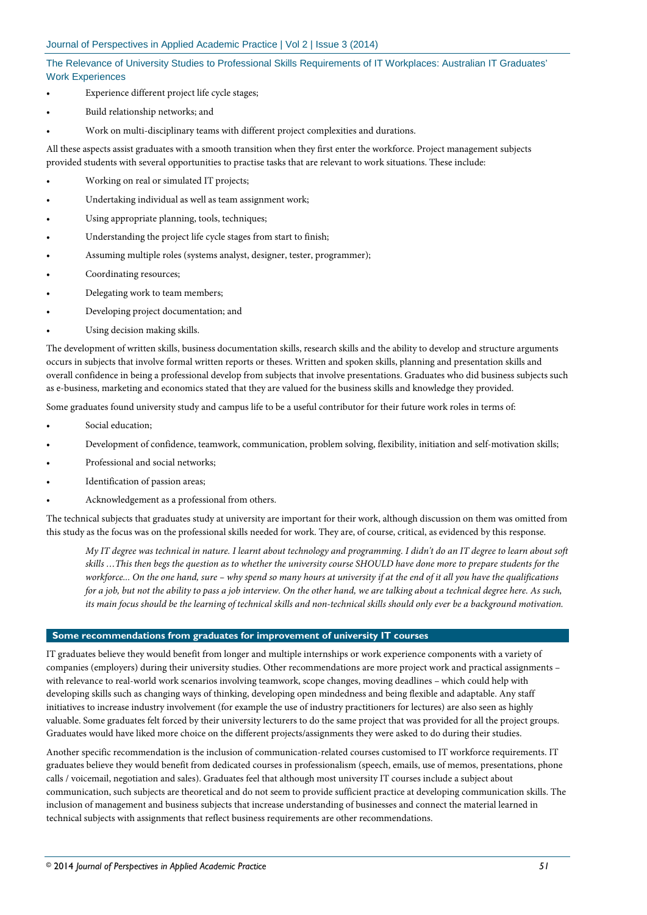- Experience different project life cycle stages;
- Build relationship networks; and
- Work on multi-disciplinary teams with different project complexities and durations.

All these aspects assist graduates with a smooth transition when they first enter the workforce. Project management subjects provided students with several opportunities to practise tasks that are relevant to work situations. These include:

- Working on real or simulated IT projects;
- Undertaking individual as well as team assignment work;
- Using appropriate planning, tools, techniques;
- Understanding the project life cycle stages from start to finish;
- Assuming multiple roles (systems analyst, designer, tester, programmer);
- Coordinating resources;
- Delegating work to team members;
- Developing project documentation; and
- Using decision making skills.

The development of written skills, business documentation skills, research skills and the ability to develop and structure arguments occurs in subjects that involve formal written reports or theses. Written and spoken skills, planning and presentation skills and overall confidence in being a professional develop from subjects that involve presentations. Graduates who did business subjects such as e-business, marketing and economics stated that they are valued for the business skills and knowledge they provided.

Some graduates found university study and campus life to be a useful contributor for their future work roles in terms of:

- Social education;
- Development of confidence, teamwork, communication, problem solving, flexibility, initiation and self-motivation skills;
- Professional and social networks;
- Identification of passion areas;
- Acknowledgement as a professional from others.

The technical subjects that graduates study at university are important for their work, although discussion on them was omitted from this study as the focus was on the professional skills needed for work. They are, of course, critical, as evidenced by this response.

*My IT degree was technical in nature. I learnt about technology and programming. I didn't do an IT degree to learn about soft skills …This then begs the question as to whether the university course SHOULD have done more to prepare students for the workforce... On the one hand, sure – why spend so many hours at university if at the end of it all you have the qualifications for a job, but not the ability to pass a job interview. On the other hand, we are talking about a technical degree here. As such, its main focus should be the learning of technical skills and non-technical skills should only ever be a background motivation.*

#### **Some recommendations from graduates for improvement of university IT courses**

IT graduates believe they would benefit from longer and multiple internships or work experience components with a variety of companies (employers) during their university studies. Other recommendations are more project work and practical assignments – with relevance to real-world work scenarios involving teamwork, scope changes, moving deadlines – which could help with developing skills such as changing ways of thinking, developing open mindedness and being flexible and adaptable. Any staff initiatives to increase industry involvement (for example the use of industry practitioners for lectures) are also seen as highly valuable. Some graduates felt forced by their university lecturers to do the same project that was provided for all the project groups. Graduates would have liked more choice on the different projects/assignments they were asked to do during their studies.

Another specific recommendation is the inclusion of communication-related courses customised to IT workforce requirements. IT graduates believe they would benefit from dedicated courses in professionalism (speech, emails, use of memos, presentations, phone calls / voicemail, negotiation and sales). Graduates feel that although most university IT courses include a subject about communication, such subjects are theoretical and do not seem to provide sufficient practice at developing communication skills. The inclusion of management and business subjects that increase understanding of businesses and connect the material learned in technical subjects with assignments that reflect business requirements are other recommendations.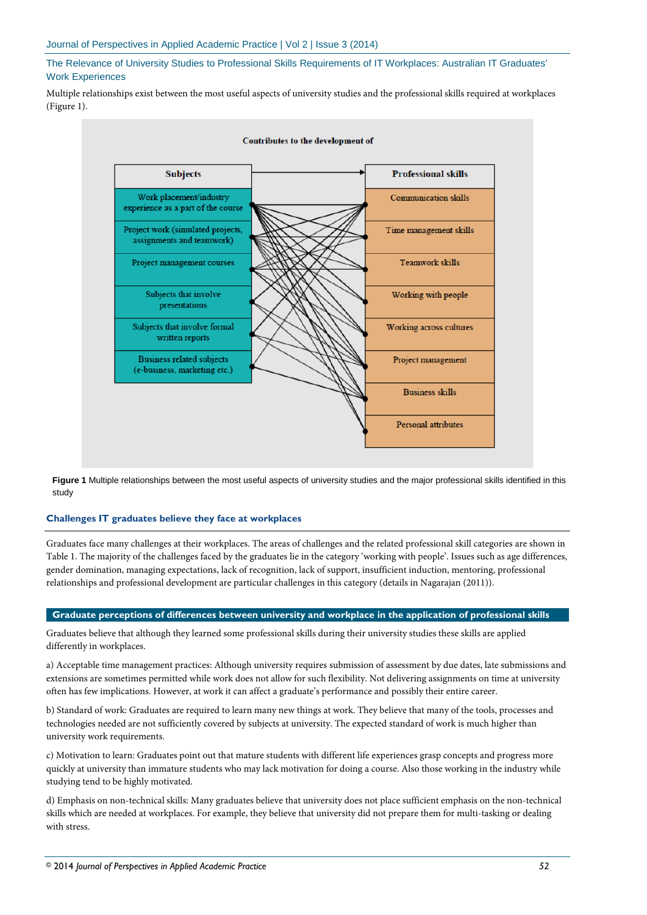Multiple relationships exist between the most useful aspects of university studies and the professional skills required at workplaces (Figure 1).



**Figure 1** Multiple relationships between the most useful aspects of university studies and the major professional skills identified in this study

#### **Challenges IT graduates believe they face at workplaces**

Graduates face many challenges at their workplaces. The areas of challenges and the related professional skill categories are shown in Table 1. The majority of the challenges faced by the graduates lie in the category 'working with people'. Issues such as age differences, gender domination, managing expectations, lack of recognition, lack of support, insufficient induction, mentoring, professional relationships and professional development are particular challenges in this category (details in Nagarajan (2011)).

#### **Graduate perceptions of differences between university and workplace in the application of professional skills**

Graduates believe that although they learned some professional skills during their university studies these skills are applied differently in workplaces.

a) Acceptable time management practices: Although university requires submission of assessment by due dates, late submissions and extensions are sometimes permitted while work does not allow for such flexibility. Not delivering assignments on time at university often has few implications. However, at work it can affect a graduate's performance and possibly their entire career.

b) Standard of work: Graduates are required to learn many new things at work. They believe that many of the tools, processes and technologies needed are not sufficiently covered by subjects at university. The expected standard of work is much higher than university work requirements.

c) Motivation to learn: Graduates point out that mature students with different life experiences grasp concepts and progress more quickly at university than immature students who may lack motivation for doing a course. Also those working in the industry while studying tend to be highly motivated.

d) Emphasis on non-technical skills: Many graduates believe that university does not place sufficient emphasis on the non-technical skills which are needed at workplaces. For example, they believe that university did not prepare them for multi-tasking or dealing with stress.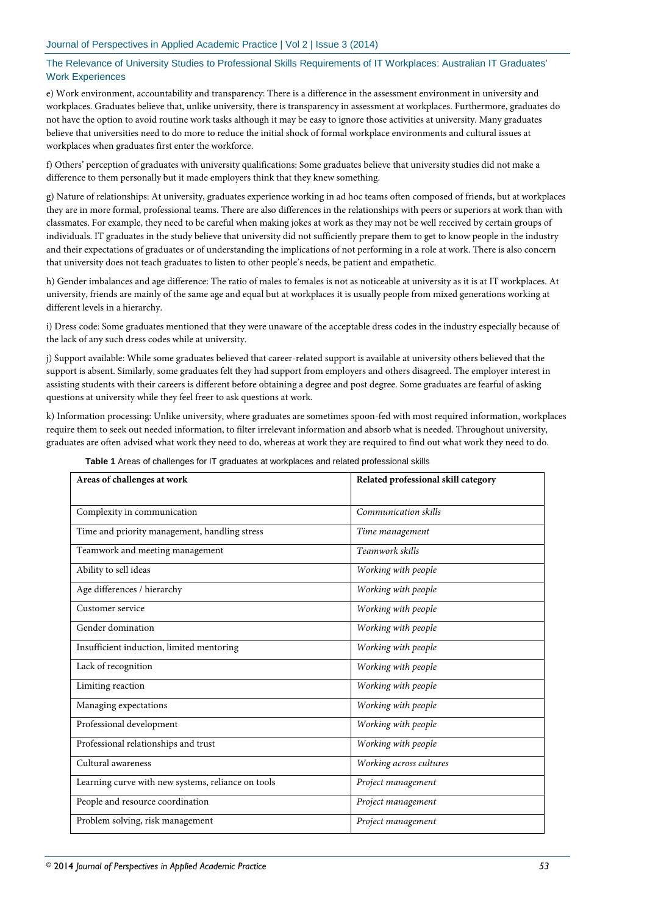e) Work environment, accountability and transparency: There is a difference in the assessment environment in university and workplaces. Graduates believe that, unlike university, there is transparency in assessment at workplaces. Furthermore, graduates do not have the option to avoid routine work tasks although it may be easy to ignore those activities at university. Many graduates believe that universities need to do more to reduce the initial shock of formal workplace environments and cultural issues at workplaces when graduates first enter the workforce.

f) Others' perception of graduates with university qualifications: Some graduates believe that university studies did not make a difference to them personally but it made employers think that they knew something.

g) Nature of relationships: At university, graduates experience working in ad hoc teams often composed of friends, but at workplaces they are in more formal, professional teams. There are also differences in the relationships with peers or superiors at work than with classmates. For example, they need to be careful when making jokes at work as they may not be well received by certain groups of individuals. IT graduates in the study believe that university did not sufficiently prepare them to get to know people in the industry and their expectations of graduates or of understanding the implications of not performing in a role at work. There is also concern that university does not teach graduates to listen to other people's needs, be patient and empathetic.

h) Gender imbalances and age difference: The ratio of males to females is not as noticeable at university as it is at IT workplaces. At university, friends are mainly of the same age and equal but at workplaces it is usually people from mixed generations working at different levels in a hierarchy.

i) Dress code: Some graduates mentioned that they were unaware of the acceptable dress codes in the industry especially because of the lack of any such dress codes while at university.

j) Support available: While some graduates believed that career-related support is available at university others believed that the support is absent. Similarly, some graduates felt they had support from employers and others disagreed. The employer interest in assisting students with their careers is different before obtaining a degree and post degree. Some graduates are fearful of asking questions at university while they feel freer to ask questions at work.

k) Information processing: Unlike university, where graduates are sometimes spoon-fed with most required information, workplaces require them to seek out needed information, to filter irrelevant information and absorb what is needed. Throughout university, graduates are often advised what work they need to do, whereas at work they are required to find out what work they need to do.

| Areas of challenges at work                        | Related professional skill category |
|----------------------------------------------------|-------------------------------------|
| Complexity in communication                        | Communication skills                |
| Time and priority management, handling stress      | Time management                     |
| Teamwork and meeting management                    | Teamwork skills                     |
| Ability to sell ideas                              | Working with people                 |
| Age differences / hierarchy                        | Working with people                 |
| Customer service                                   | Working with people                 |
| Gender domination                                  | Working with people                 |
| Insufficient induction, limited mentoring          | Working with people                 |
| Lack of recognition                                | Working with people                 |
| Limiting reaction                                  | Working with people                 |
| Managing expectations                              | Working with people                 |
| Professional development                           | Working with people                 |
| Professional relationships and trust               | Working with people                 |
| Cultural awareness                                 | Working across cultures             |
| Learning curve with new systems, reliance on tools | Project management                  |
| People and resource coordination                   | Project management                  |
| Problem solving, risk management                   | Project management                  |

**Table 1** Areas of challenges for IT graduates at workplaces and related professional skills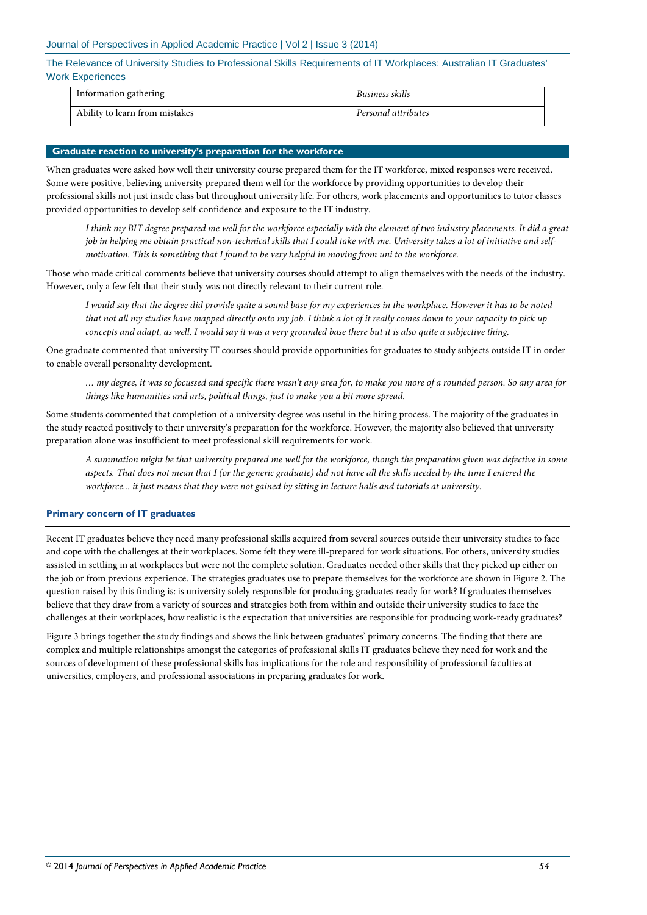#### Journal of Perspectives in Applied Academic Practice | Vol 2 | Issue 3 (2014)

The Relevance of University Studies to Professional Skills Requirements of IT Workplaces: Australian IT Graduates' Work Experiences

| Information gathering          | Business skills     |
|--------------------------------|---------------------|
| Ability to learn from mistakes | Personal attributes |

#### **Graduate reaction to university's preparation for the workforce**

When graduates were asked how well their university course prepared them for the IT workforce, mixed responses were received. Some were positive, believing university prepared them well for the workforce by providing opportunities to develop their professional skills not just inside class but throughout university life. For others, work placements and opportunities to tutor classes provided opportunities to develop self-confidence and exposure to the IT industry.

*I think my BIT degree prepared me well for the workforce especially with the element of two industry placements. It did a great job in helping me obtain practical non-technical skills that I could take with me. University takes a lot of initiative and selfmotivation. This is something that I found to be very helpful in moving from uni to the workforce.*

Those who made critical comments believe that university courses should attempt to align themselves with the needs of the industry. However, only a few felt that their study was not directly relevant to their current role.

*I would say that the degree did provide quite a sound base for my experiences in the workplace. However it has to be noted that not all my studies have mapped directly onto my job. I think a lot of it really comes down to your capacity to pick up concepts and adapt, as well. I would say it was a very grounded base there but it is also quite a subjective thing.*

One graduate commented that university IT courses should provide opportunities for graduates to study subjects outside IT in order to enable overall personality development.

*… my degree, it was so focussed and specific there wasn't any area for, to make you more of a rounded person. So any area for things like humanities and arts, political things, just to make you a bit more spread.*

Some students commented that completion of a university degree was useful in the hiring process. The majority of the graduates in the study reacted positively to their university's preparation for the workforce. However, the majority also believed that university preparation alone was insufficient to meet professional skill requirements for work.

*A summation might be that university prepared me well for the workforce, though the preparation given was defective in some aspects. That does not mean that I (or the generic graduate) did not have all the skills needed by the time I entered the workforce... it just means that they were not gained by sitting in lecture halls and tutorials at university.*

#### **Primary concern of IT graduates**

Recent IT graduates believe they need many professional skills acquired from several sources outside their university studies to face and cope with the challenges at their workplaces. Some felt they were ill-prepared for work situations. For others, university studies assisted in settling in at workplaces but were not the complete solution. Graduates needed other skills that they picked up either on the job or from previous experience. The strategies graduates use to prepare themselves for the workforce are shown in Figure 2. The question raised by this finding is: is university solely responsible for producing graduates ready for work? If graduates themselves believe that they draw from a variety of sources and strategies both from within and outside their university studies to face the challenges at their workplaces, how realistic is the expectation that universities are responsible for producing work-ready graduates?

Figure 3 brings together the study findings and shows the link between graduates' primary concerns. The finding that there are complex and multiple relationships amongst the categories of professional skills IT graduates believe they need for work and the sources of development of these professional skills has implications for the role and responsibility of professional faculties at universities, employers, and professional associations in preparing graduates for work.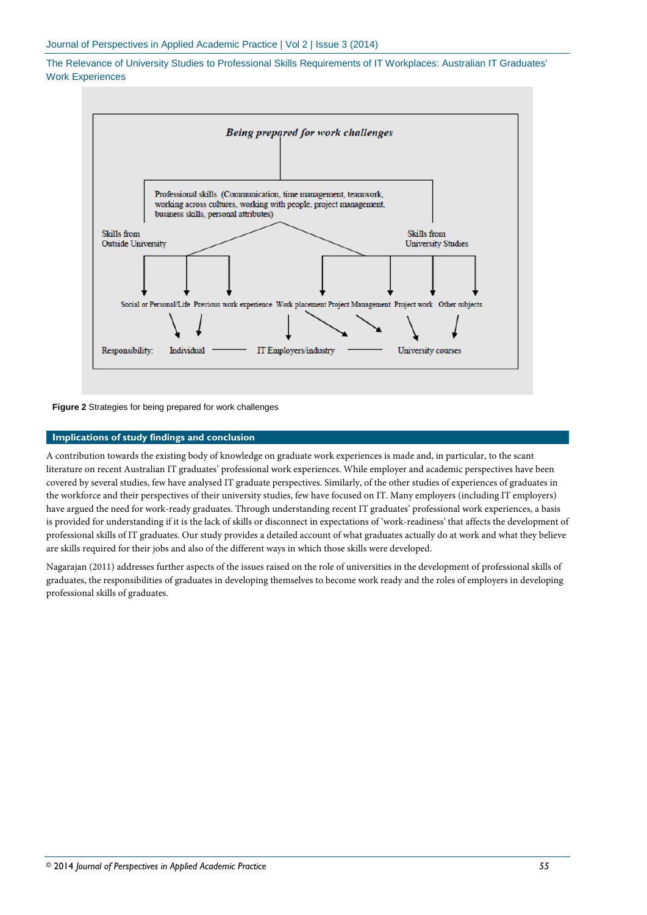

**Figure 2** Strategies for being prepared for work challenges

### **Implications of study findings and conclusion**

A contribution towards the existing body of knowledge on graduate work experiences is made and, in particular, to the scant literature on recent Australian IT graduates' professional work experiences. While employer and academic perspectives have been covered by several studies, few have analysed IT graduate perspectives. Similarly, of the other studies of experiences of graduates in the workforce and their perspectives of their university studies, few have focused on IT. Many employers (including IT employers) have argued the need for work-ready graduates. Through understanding recent IT graduates' professional work experiences, a basis is provided for understanding if it is the lack of skills or disconnect in expectations of 'work-readiness' that affects the development of professional skills of IT graduates. Our study provides a detailed account of what graduates actually do at work and what they believe are skills required for their jobs and also of the different ways in which those skills were developed.

Nagarajan (2011) addresses further aspects of the issues raised on the role of universities in the development of professional skills of graduates, the responsibilities of graduates in developing themselves to become work ready and the roles of employers in developing professional skills of graduates.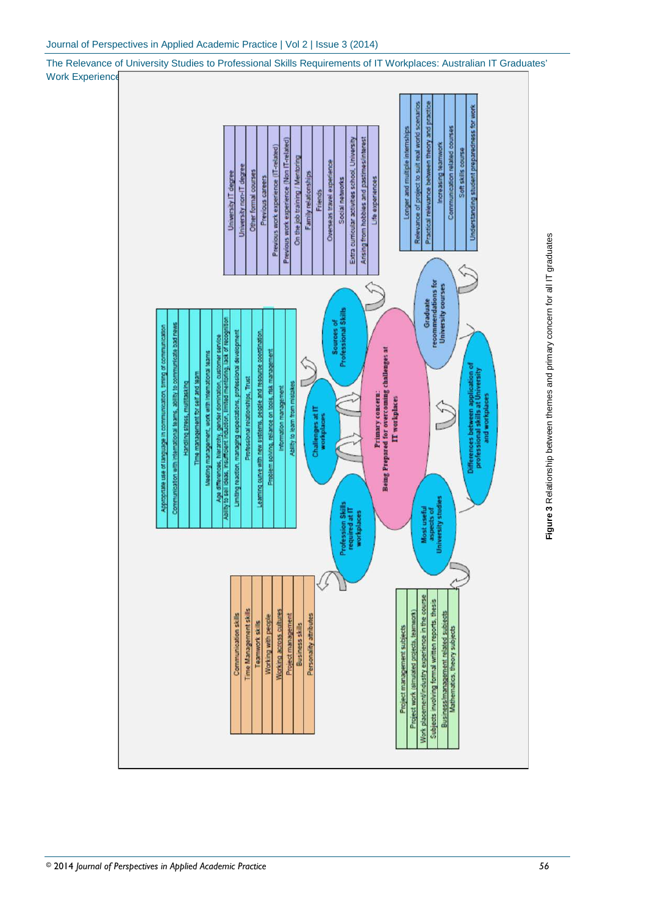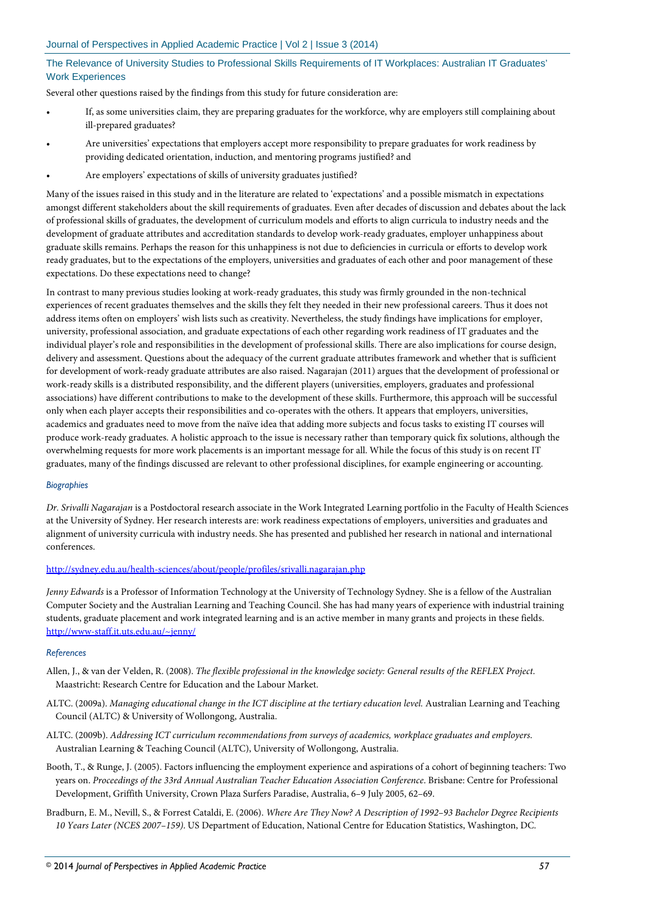Several other questions raised by the findings from this study for future consideration are:

- If, as some universities claim, they are preparing graduates for the workforce, why are employers still complaining about ill-prepared graduates?
- Are universities' expectations that employers accept more responsibility to prepare graduates for work readiness by providing dedicated orientation, induction, and mentoring programs justified? and
- Are employers' expectations of skills of university graduates justified?

Many of the issues raised in this study and in the literature are related to 'expectations' and a possible mismatch in expectations amongst different stakeholders about the skill requirements of graduates. Even after decades of discussion and debates about the lack of professional skills of graduates, the development of curriculum models and efforts to align curricula to industry needs and the development of graduate attributes and accreditation standards to develop work-ready graduates, employer unhappiness about graduate skills remains. Perhaps the reason for this unhappiness is not due to deficiencies in curricula or efforts to develop work ready graduates, but to the expectations of the employers, universities and graduates of each other and poor management of these expectations. Do these expectations need to change?

In contrast to many previous studies looking at work-ready graduates, this study was firmly grounded in the non-technical experiences of recent graduates themselves and the skills they felt they needed in their new professional careers. Thus it does not address items often on employers' wish lists such as creativity. Nevertheless, the study findings have implications for employer, university, professional association, and graduate expectations of each other regarding work readiness of IT graduates and the individual player's role and responsibilities in the development of professional skills. There are also implications for course design, delivery and assessment. Questions about the adequacy of the current graduate attributes framework and whether that is sufficient for development of work-ready graduate attributes are also raised. Nagarajan (2011) argues that the development of professional or work-ready skills is a distributed responsibility, and the different players (universities, employers, graduates and professional associations) have different contributions to make to the development of these skills. Furthermore, this approach will be successful only when each player accepts their responsibilities and co-operates with the others. It appears that employers, universities, academics and graduates need to move from the naïve idea that adding more subjects and focus tasks to existing IT courses will produce work-ready graduates. A holistic approach to the issue is necessary rather than temporary quick fix solutions, although the overwhelming requests for more work placements is an important message for all. While the focus of this study is on recent IT graduates, many of the findings discussed are relevant to other professional disciplines, for example engineering or accounting.

#### *Biographies*

*Dr. Srivalli Nagarajan* is a Postdoctoral research associate in the Work Integrated Learning portfolio in the Faculty of Health Sciences at the University of Sydney. Her research interests are: work readiness expectations of employers, universities and graduates and alignment of university curricula with industry needs. She has presented and published her research in national and international conferences.

#### <http://sydney.edu.au/health-sciences/about/people/profiles/srivalli.nagarajan.php>

*Jenny Edwards* is a Professor of Information Technology at the University of Technology Sydney. She is a fellow of the Australian Computer Society and the Australian Learning and Teaching Council. She has had many years of experience with industrial training students, graduate placement and work integrated learning and is an active member in many grants and projects in these fields. <http://www-staff.it.uts.edu.au/~jenny/>

#### *References*

- Allen, J., & van der Velden, R. (2008). *The flexible professional in the knowledge society: General results of the REFLEX Project*. Maastricht: Research Centre for Education and the Labour Market.
- ALTC. (2009a). *Managing educational change in the ICT discipline at the tertiary education level.* Australian Learning and Teaching Council (ALTC) & University of Wollongong, Australia.
- ALTC. (2009b). *Addressing ICT curriculum recommendations from surveys of academics, workplace graduates and employers*. Australian Learning & Teaching Council (ALTC), University of Wollongong, Australia.
- Booth, T., & Runge, J. (2005). Factors influencing the employment experience and aspirations of a cohort of beginning teachers: Two years on. *Proceedings of the 33rd Annual Australian Teacher Education Association Conference*. Brisbane: Centre for Professional Development, Griffith University, Crown Plaza Surfers Paradise, Australia, 6–9 July 2005, 62–69.
- Bradburn, E. M., Nevill, S., & Forrest Cataldi, E. (2006). *Where Are They Now? A Description of 1992–93 Bachelor Degree Recipients 10 Years Later (NCES 2007–159)*. US Department of Education, National Centre for Education Statistics, Washington, DC.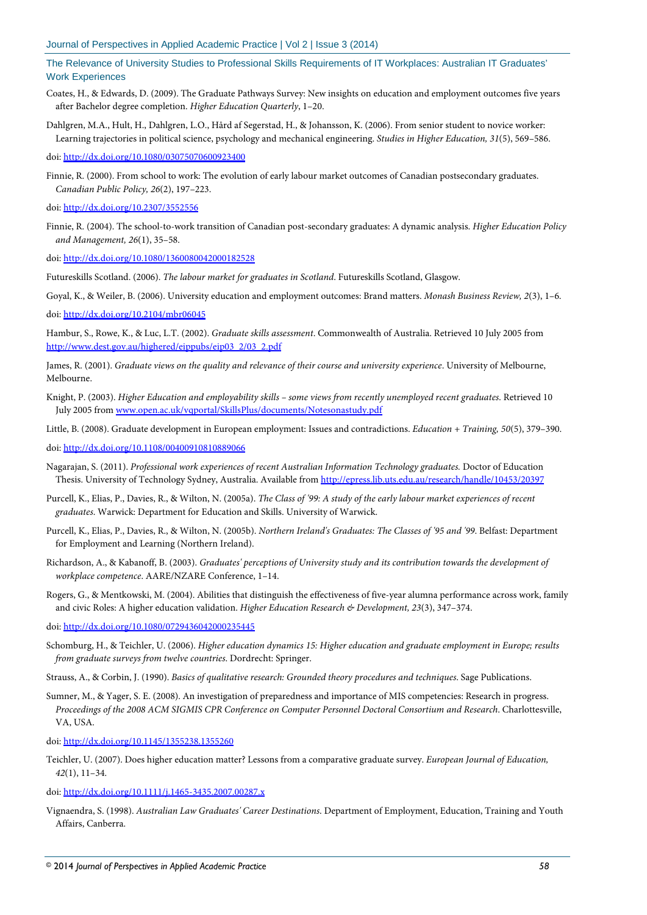- Coates, H., & Edwards, D. (2009). The Graduate Pathways Survey: New insights on education and employment outcomes five years after Bachelor degree completion. *Higher Education Quarterly*, 1–20.
- Dahlgren, M.A., Hult, H., Dahlgren, L.O., Hård af Segerstad, H., & Johansson, K. (2006). From senior student to novice worker: Learning trajectories in political science, psychology and mechanical engineering. *Studies in Higher Education, 31*(5), 569–586.

doi: http://dx.doi.org/10.1080/03075070600923400

- Finnie, R. (2000). From school to work: The evolution of early labour market outcomes of Canadian postsecondary graduates. *Canadian Public Policy, 26*(2), 197–223.
- doi[: http://dx.doi.org/10.2307/3552556](http://dx.doi.org/10.2307/3552556)
- Finnie, R. (2004). The school-to-work transition of Canadian post-secondary graduates: A dynamic analysis. *Higher Education Policy and Management, 26*(1), 35–58.

doi[: http://dx.doi.org/10.1080/1360080042000182528](http://dx.doi.org/10.1080/1360080042000182528)

Futureskills Scotland. (2006). *The labour market for graduates in Scotland*. Futureskills Scotland, Glasgow.

Goyal, K., & Weiler, B. (2006). University education and employment outcomes: Brand matters. *Monash Business Review, 2*(3), 1–6.

doi[: http://dx.doi.org/10.2104/mbr06045](http://dx.doi.org/10.2104/mbr06045)

Hambur, S., Rowe, K., & Luc, L.T. (2002). *Graduate skills assessment*. Commonwealth of Australia. Retrieved 10 July 2005 from [http://www.dest.gov.au/highered/eippubs/eip03\\_2/03\\_2.pdf](http://www.dest.gov.au/highered/eippubs/eip03_2/03_2.pdf)

James, R. (2001). *Graduate views on the quality and relevance of their course and university experience*. University of Melbourne, Melbourne.

Knight, P. (2003). *Higher Education and employability skills – some views from recently unemployed recent graduates*. Retrieved 10 July 2005 from [www.open.ac.uk/vqportal/SkillsPlus/documents/Notesonastudy.pdf](http://www.open.ac.uk/vqportal/SkillsPlus/documents/Notesonastudy.pdf)

Little, B. (2008). Graduate development in European employment: Issues and contradictions. *Education + Training, 50*(5), 379–390.

doi: http://dx.doi.org/10.1108/00400910810889066

- Nagarajan, S. (2011). *Professional work experiences of recent Australian Information Technology graduates.* Doctor of Education Thesis. University of Technology Sydney, Australia. Available fro[m http://epress.lib.uts.edu.au/research/handle/10453/20397](http://epress.lib.uts.edu.au/research/handle/10453/20397)
- Purcell, K., Elias, P., Davies, R., & Wilton, N. (2005a). *The Class of '99: A study of the early labour market experiences of recent graduates*. Warwick: Department for Education and Skills. University of Warwick.
- Purcell, K., Elias, P., Davies, R., & Wilton, N. (2005b). *Northern Ireland's Graduates: The Classes of '95 and '99*. Belfast: Department for Employment and Learning (Northern Ireland).
- Richardson, A., & Kabanoff, B. (2003). *Graduates' perceptions of University study and its contribution towards the development of workplace competence*. AARE/NZARE Conference, 1–14.
- Rogers, G., & Mentkowski, M. (2004). Abilities that distinguish the effectiveness of five-year alumna performance across work, family and civic Roles: A higher education validation. *Higher Education Research & Development, 23*(3), 347–374.

doi: http://dx.doi.org/10.1080/0729436042000235445

- Schomburg, H., & Teichler, U. (2006). *Higher education dynamics 15: Higher education and graduate employment in Europe; results from graduate surveys from twelve countries*. Dordrecht: Springer.
- Strauss, A., & Corbin, J. (1990). *Basics of qualitative research: Grounded theory procedures and techniques*. Sage Publications.
- Sumner, M., & Yager, S. E. (2008). An investigation of preparedness and importance of MIS competencies: Research in progress. *Proceedings of the 2008 ACM SIGMIS CPR Conference on Computer Personnel Doctoral Consortium and Research*. Charlottesville, VA, USA.

doi[: http://dx.doi.org/10.1145/1355238.1355260](http://dx.doi.org/10.1145/1355238.1355260)

Teichler, U. (2007). Does higher education matter? Lessons from a comparative graduate survey. *European Journal of Education, 42*(1), 11–34.

doi[: http://dx.doi.org/10.1111/j.1465-3435.2007.00287.x](http://dx.doi.org/10.1111/j.1465-3435.2007.00287.x)

Vignaendra, S. (1998). *Australian Law Graduates' Career Destinations*. Department of Employment, Education, Training and Youth Affairs, Canberra.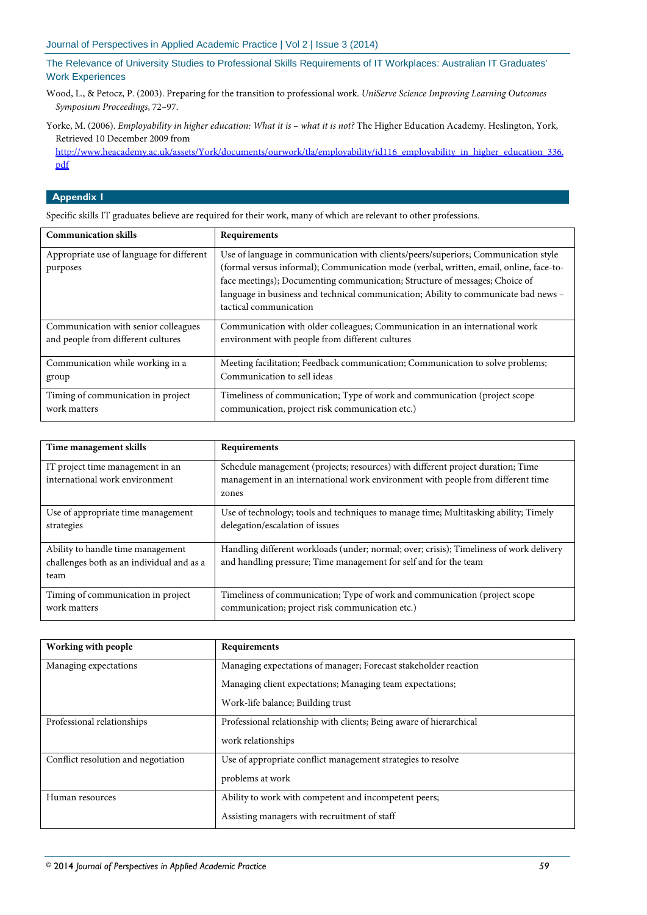- Wood, L., & Petocz, P. (2003). Preparing for the transition to professional work. *UniServe Science Improving Learning Outcomes Symposium Proceedings*, 72–97.
- Yorke, M. (2006). *Employability in higher education: What it is – what it is not?* The Higher Education Academy. Heslington, York, Retrieved 10 December 2009 from

[http://www.heacademy.ac.uk/assets/York/documents/ourwork/tla/employability/id116\\_employability\\_in\\_higher\\_education\\_336.](http://www.heacademy.ac.uk/assets/York/documents/ourwork/tla/employability/id116_employability_in_higher_education_336.pdf) [pdf](http://www.heacademy.ac.uk/assets/York/documents/ourwork/tla/employability/id116_employability_in_higher_education_336.pdf)

## **Appendix 1**

Specific skills IT graduates believe are required for their work, many of which are relevant to other professions.

| <b>Communication skills</b>                           | Requirements                                                                                                                                                                                                                                                                                                                                                                 |
|-------------------------------------------------------|------------------------------------------------------------------------------------------------------------------------------------------------------------------------------------------------------------------------------------------------------------------------------------------------------------------------------------------------------------------------------|
| Appropriate use of language for different<br>purposes | Use of language in communication with clients/peers/superiors; Communication style<br>(formal versus informal); Communication mode (verbal, written, email, online, face-to-<br>face meetings); Documenting communication; Structure of messages; Choice of<br>language in business and technical communication; Ability to communicate bad news -<br>tactical communication |
| Communication with senior colleagues                  | Communication with older colleagues; Communication in an international work                                                                                                                                                                                                                                                                                                  |
| and people from different cultures                    | environment with people from different cultures                                                                                                                                                                                                                                                                                                                              |
| Communication while working in a                      | Meeting facilitation; Feedback communication; Communication to solve problems;                                                                                                                                                                                                                                                                                               |
| group                                                 | Communication to sell ideas                                                                                                                                                                                                                                                                                                                                                  |
| Timing of communication in project                    | Timeliness of communication; Type of work and communication (project scope                                                                                                                                                                                                                                                                                                   |
| work matters                                          | communication, project risk communication etc.)                                                                                                                                                                                                                                                                                                                              |

| Time management skills                    | Requirements                                                                            |
|-------------------------------------------|-----------------------------------------------------------------------------------------|
|                                           |                                                                                         |
| IT project time management in an          | Schedule management (projects; resources) with different project duration; Time         |
| international work environment            | management in an international work environment with people from different time         |
|                                           | zones                                                                                   |
|                                           |                                                                                         |
| Use of appropriate time management        | Use of technology; tools and techniques to manage time; Multitasking ability; Timely    |
| strategies                                | delegation/escalation of issues                                                         |
|                                           |                                                                                         |
| Ability to handle time management         | Handling different workloads (under; normal; over; crisis); Timeliness of work delivery |
| challenges both as an individual and as a | and handling pressure; Time management for self and for the team                        |
| team                                      |                                                                                         |
|                                           |                                                                                         |
| Timing of communication in project        | Timeliness of communication; Type of work and communication (project scope              |
| work matters                              | communication; project risk communication etc.)                                         |
|                                           |                                                                                         |

| Working with people                 | Requirements                                                        |
|-------------------------------------|---------------------------------------------------------------------|
| Managing expectations               | Managing expectations of manager; Forecast stakeholder reaction     |
|                                     | Managing client expectations; Managing team expectations;           |
|                                     | Work-life balance; Building trust                                   |
| Professional relationships          | Professional relationship with clients; Being aware of hierarchical |
|                                     | work relationships                                                  |
| Conflict resolution and negotiation | Use of appropriate conflict management strategies to resolve        |
|                                     | problems at work                                                    |
| Human resources                     | Ability to work with competent and incompetent peers;               |
|                                     | Assisting managers with recruitment of staff                        |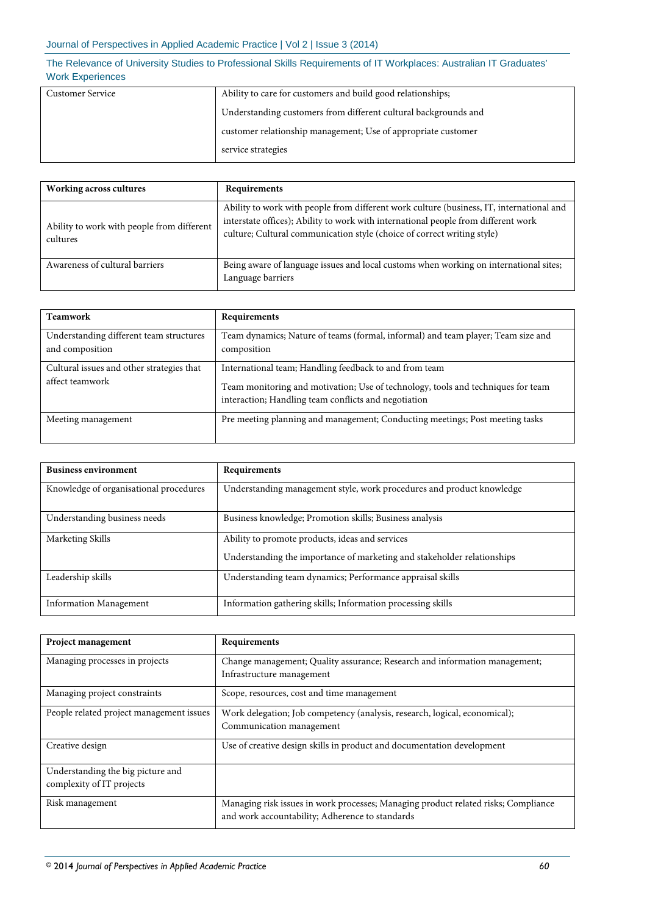| Customer Service | Ability to care for customers and build good relationships;     |
|------------------|-----------------------------------------------------------------|
|                  | Understanding customers from different cultural backgrounds and |
|                  | customer relationship management; Use of appropriate customer   |
|                  | service strategies                                              |

| <b>Working across cultures</b>                         | Requirements                                                                                                                                                                                                                                              |
|--------------------------------------------------------|-----------------------------------------------------------------------------------------------------------------------------------------------------------------------------------------------------------------------------------------------------------|
| Ability to work with people from different<br>cultures | Ability to work with people from different work culture (business, IT, international and<br>interstate offices); Ability to work with international people from different work<br>culture; Cultural communication style (choice of correct writing style) |
| Awareness of cultural barriers                         | Being aware of language issues and local customs when working on international sites;<br>Language barriers                                                                                                                                                |

| <b>Teamwork</b>                                              | Requirements                                                                                                                                                                                       |
|--------------------------------------------------------------|----------------------------------------------------------------------------------------------------------------------------------------------------------------------------------------------------|
| Understanding different team structures<br>and composition   | Team dynamics; Nature of teams (formal, informal) and team player; Team size and<br>composition                                                                                                    |
| Cultural issues and other strategies that<br>affect teamwork | International team; Handling feedback to and from team<br>Team monitoring and motivation; Use of technology, tools and techniques for team<br>interaction; Handling team conflicts and negotiation |
| Meeting management                                           | Pre meeting planning and management; Conducting meetings; Post meeting tasks                                                                                                                       |

| <b>Business environment</b>            | Requirements                                                                                                               |
|----------------------------------------|----------------------------------------------------------------------------------------------------------------------------|
| Knowledge of organisational procedures | Understanding management style, work procedures and product knowledge                                                      |
| Understanding business needs           | Business knowledge; Promotion skills; Business analysis                                                                    |
| Marketing Skills                       | Ability to promote products, ideas and services<br>Understanding the importance of marketing and stakeholder relationships |
| Leadership skills                      | Understanding team dynamics; Performance appraisal skills                                                                  |
| <b>Information Management</b>          | Information gathering skills; Information processing skills                                                                |

| Project management                       | Requirements                                                                       |
|------------------------------------------|------------------------------------------------------------------------------------|
| Managing processes in projects           | Change management; Quality assurance; Research and information management;         |
|                                          | Infrastructure management                                                          |
| Managing project constraints             | Scope, resources, cost and time management                                         |
| People related project management issues | Work delegation; Job competency (analysis, research, logical, economical);         |
|                                          | Communication management                                                           |
| Creative design                          | Use of creative design skills in product and documentation development             |
| Understanding the big picture and        |                                                                                    |
| complexity of IT projects                |                                                                                    |
| Risk management                          | Managing risk issues in work processes; Managing product related risks; Compliance |
|                                          | and work accountability; Adherence to standards                                    |